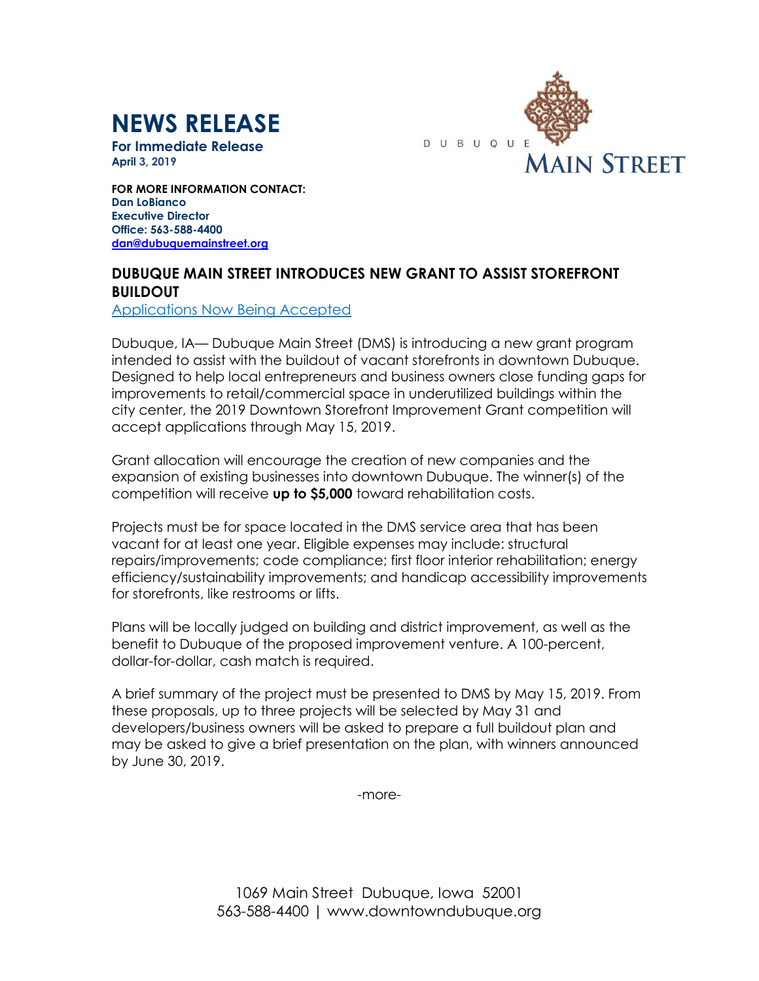## **NEWS RELEASE**

**For Immediate Release April 3, 2019**



**FOR MORE INFORMATION CONTACT: Dan LoBianco Executive Director Office: 563-588-4400 [dan@dubuquemainstreet.org](mailto:dan@dubuquemainstreet.org)**

## **DUBUQUE MAIN STREET INTRODUCES NEW GRANT TO ASSIST STOREFRONT BUILDOUT**

Applications Now Being Accepted

Dubuque, IA— Dubuque Main Street (DMS) is introducing a new grant program intended to assist with the buildout of vacant storefronts in downtown Dubuque. Designed to help local entrepreneurs and business owners close funding gaps for improvements to retail/commercial space in underutilized buildings within the city center, the 2019 Downtown Storefront Improvement Grant competition will accept applications through May 15, 2019.

Grant allocation will encourage the creation of new companies and the expansion of existing businesses into downtown Dubuque. The winner(s) of the competition will receive **up to \$5,000** toward rehabilitation costs.

Projects must be for space located in the DMS service area that has been vacant for at least one year. Eligible expenses may include: structural repairs/improvements; code compliance; first floor interior rehabilitation; energy efficiency/sustainability improvements; and handicap accessibility improvements for storefronts, like restrooms or lifts.

Plans will be locally judged on building and district improvement, as well as the benefit to Dubuque of the proposed improvement venture. A 100-percent, dollar-for-dollar, cash match is required.

A brief summary of the project must be presented to DMS by May 15, 2019. From these proposals, up to three projects will be selected by May 31 and developers/business owners will be asked to prepare a full buildout plan and may be asked to give a brief presentation on the plan, with winners announced by June 30, 2019.

-more-

1069 Main Street Dubuque, Iowa 52001 563-588-4400 | www.downtowndubuque.org